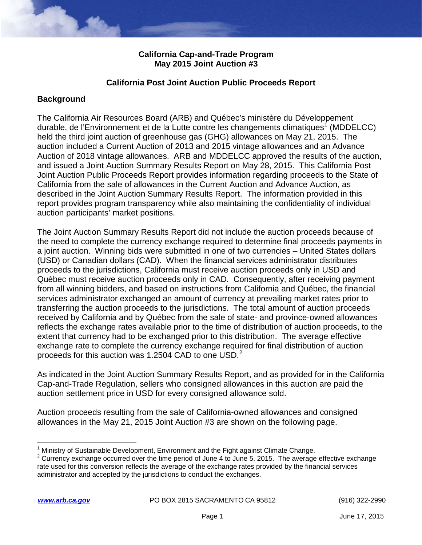### **California Cap-and-Trade Program May 2015 Joint Auction #3**

### **California Post Joint Auction Public Proceeds Report**

## **Background**

 held the third joint auction of greenhouse gas (GHG) allowances on May 21, 2015. The Auction of 2018 vintage allowances. ARB and MDDELCC approved the results of the auction, described in the Joint Auction Summary Results Report. The information provided in this The California Air Resources Board (ARB) and Québec's ministère du Développement durable, de l'Environnement et de la Lutte contre les changements climatiques<sup>[1](#page-0-0)</sup> (MDDELCC) auction included a Current Auction of 2013 and 2015 vintage allowances and an Advance and issued a Joint Auction Summary Results Report on May 28, 2015. This California Post Joint Auction Public Proceeds Report provides information regarding proceeds to the State of California from the sale of allowances in the Current Auction and Advance Auction, as report provides program transparency while also maintaining the confidentiality of individual auction participants' market positions.

 the need to complete the currency exchange required to determine final proceeds payments in a joint auction. Winning bids were submitted in one of two currencies – United States dollars (USD) or Canadian dollars (CAD). When the financial services administrator distributes Québec must receive auction proceeds only in CAD. Consequently, after receiving payment transferring the auction proceeds to the jurisdictions. The total amount of auction proceeds extent that currency had to be exchanged prior to this distribution. The average effective exchange rate to complete the currency exchange required for final distribution of auction proceeds for this auction was 1.2504 CAD to one USD.<sup>2</sup> The Joint Auction Summary Results Report did not include the auction proceeds because of proceeds to the jurisdictions, California must receive auction proceeds only in USD and from all winning bidders, and based on instructions from California and Québec, the financial services administrator exchanged an amount of currency at prevailing market rates prior to received by California and by Québec from the sale of state- and province-owned allowances reflects the exchange rates available prior to the time of distribution of auction proceeds, to the

 As indicated in the Joint Auction Summary Results Report, and as provided for in the California Cap-and-Trade Regulation, sellers who consigned allowances in this auction are paid the auction settlement price in USD for every consigned allowance sold.

 allowances in the May 21, 2015 Joint Auction #3 are shown on the following page. Auction proceeds resulting from the sale of California-owned allowances and consigned

 $\overline{\phantom{a}}$ 

Ministry of Sustainable Development, Environment and the Fight against Climate Change.

<span id="page-0-1"></span><span id="page-0-0"></span><sup>&</sup>lt;sup>2</sup> Currency exchange occurred over the time period of June 4 to June 5, 2015. The average effective exchange rate used for this conversion reflects the average of the exchange rates provided by the financial services administrator and accepted by the jurisdictions to conduct the exchanges.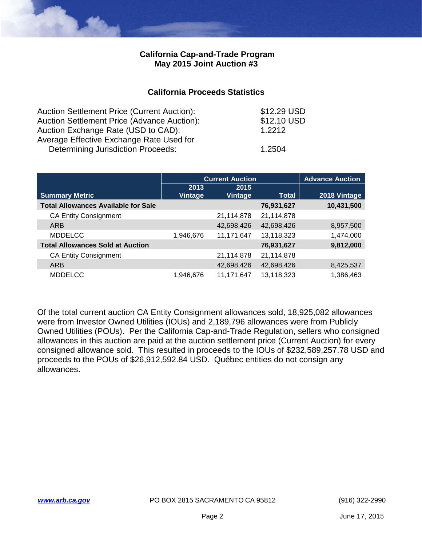#### **California Cap-and-Trade Program May 2015 Joint Auction #3**

#### **California Proceeds Statistics**

| <b>Auction Settlement Price (Current Auction):</b> | \$12.29 USD |
|----------------------------------------------------|-------------|
| Auction Settlement Price (Advance Auction):        | \$12.10 USD |
| Auction Exchange Rate (USD to CAD):                | 1 2212      |
| Average Effective Exchange Rate Used for           |             |
| Determining Jurisdiction Proceeds:                 | 1.2504      |

|                                            |                 | <b>Current Auction</b> |            | <b>Advance Auction</b> |
|--------------------------------------------|-----------------|------------------------|------------|------------------------|
| <b>Summary Metric</b>                      | 2013<br>Vintage | 2015<br><b>Vintage</b> | Total      | 2018 Vintage           |
| <b>Total Allowances Available for Sale</b> |                 |                        | 76,931,627 | 10,431,500             |
|                                            |                 |                        |            |                        |
| <b>CA Entity Consignment</b>               |                 | 21,114,878             | 21,114,878 |                        |
| ARB                                        |                 | 42,698,426             | 42,698,426 | 8,957,500              |
| <b>MDDELCC</b>                             | 1,946,676       | 11,171,647             | 13,118,323 | 1,474,000              |
| <b>Total Allowances Sold at Auction</b>    |                 |                        | 76,931,627 | 9,812,000              |
| <b>CA Entity Consignment</b>               |                 | 21,114,878             | 21,114,878 |                        |
| ARB                                        |                 | 42,698,426             | 42,698,426 | 8,425,537              |
| <b>MDDELCC</b>                             | 1,946,676       | 11,171,647             | 13,118,323 | 1,386,463              |

 allowances in this auction are paid at the auction settlement price (Current Auction) for every consigned allowance sold. This resulted in proceeds to the IOUs of [\\$232,589,257.78](https://232,589,257.78) USD and proceeds to the POUs of [\\$26,912,592.84](https://26,912,592.84) USD. Québec entities do not consign any Of the total current auction CA Entity Consignment allowances sold, 18,925,082 allowances were from Investor Owned Utilities (IOUs) and 2,189,796 allowances were from Publicly Owned Utilities (POUs). Per the California Cap-and-Trade Regulation, sellers who consigned allowances.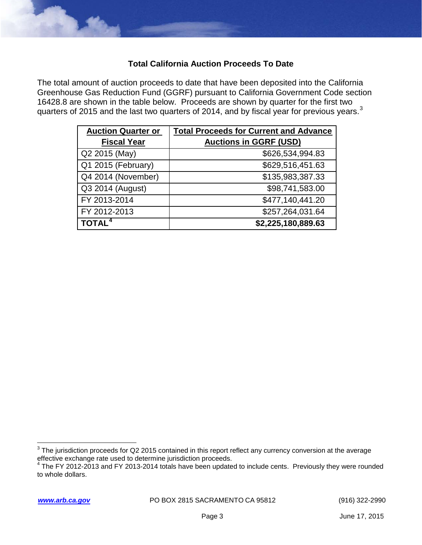# **Total California Auction Proceeds To Date**

The total amount of auction proceeds to date that have been deposited into the California Greenhouse Gas Reduction Fund (GGRF) pursuant to California Government Code section 16428.8 are shown in the table below. Proceeds are shown by quarter for the first two quarters of 2015 and the last two quarters of 2014, and by fiscal year for previous years.<sup>3</sup>

| <b>Auction Quarter or</b> | <b>Total Proceeds for Current and Advance</b> |
|---------------------------|-----------------------------------------------|
| <b>Fiscal Year</b>        | <b>Auctions in GGRF (USD)</b>                 |
| Q2 2015 (May)             | \$626,534,994.83                              |
| Q1 2015 (February)        | \$629,516,451.63                              |
| Q4 2014 (November)        | \$135,983,387.33                              |
| Q3 2014 (August)          | \$98,741,583.00                               |
| FY 2013-2014              | \$477,140,441.20                              |
| FY 2012-2013              | \$257,264,031.64                              |
| TOTAL <sup>4</sup>        | \$2,225,180,889.63                            |

 $\overline{\phantom{a}}$ 

<span id="page-2-0"></span> $^3$  The jurisdiction proceeds for Q2 2015 contained in this report reflect any currency conversion at the average effective exchange rate used to determine jurisdiction proceeds.<br><sup>4</sup> The FY 2012-2013 and FY 2013-2014 totals have been updated to include cents. Previously they were rounded

<span id="page-2-1"></span>to whole dollars.